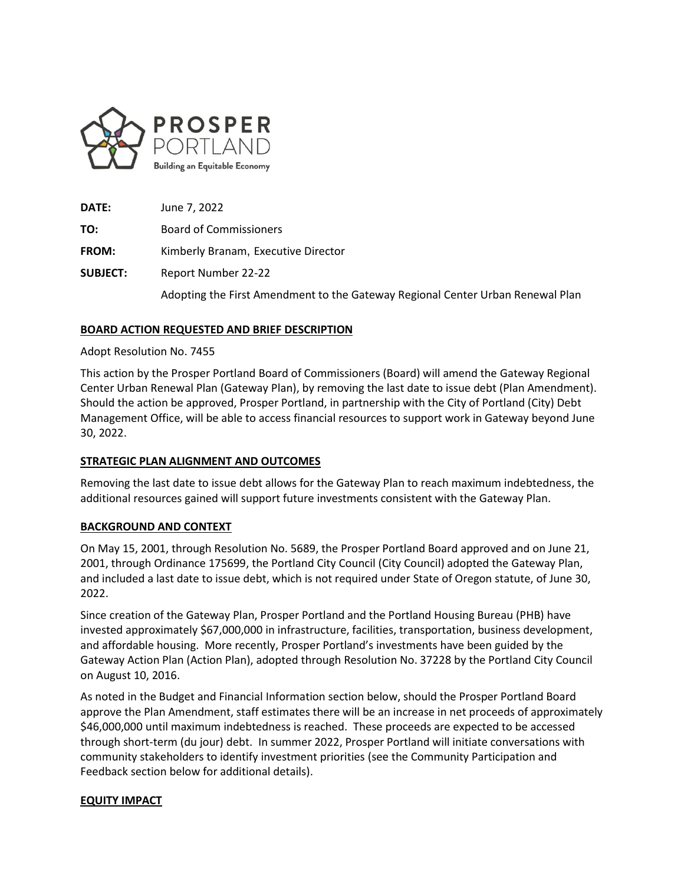

**DATE:** June 7, 2022 **TO:** Board of Commissioners **FROM:** Kimberly Branam, Executive Director **SUBJECT:** Report Number 22-22 Adopting the First Amendment to the Gateway Regional Center Urban Renewal Plan

# **BOARD ACTION REQUESTED AND BRIEF DESCRIPTION**

### Adopt Resolution No. 7455

This action by the Prosper Portland Board of Commissioners (Board) will amend the Gateway Regional Center Urban Renewal Plan (Gateway Plan), by removing the last date to issue debt (Plan Amendment). Should the action be approved, Prosper Portland, in partnership with the City of Portland (City) Debt Management Office, will be able to access financial resources to support work in Gateway beyond June 30, 2022.

# **STRATEGIC PLAN ALIGNMENT AND OUTCOMES**

Removing the last date to issue debt allows for the Gateway Plan to reach maximum indebtedness, the additional resources gained will support future investments consistent with the Gateway Plan.

#### **BACKGROUND AND CONTEXT**

On May 15, 2001, through Resolution No. 5689, the Prosper Portland Board approved and on June 21, 2001, through Ordinance 175699, the Portland City Council (City Council) adopted the Gateway Plan, and included a last date to issue debt, which is not required under State of Oregon statute, of June 30, 2022.

Since creation of the Gateway Plan, Prosper Portland and the Portland Housing Bureau (PHB) have invested approximately \$67,000,000 in infrastructure, facilities, transportation, business development, and affordable housing. More recently, Prosper Portland's investments have been guided by the Gateway Action Plan (Action Plan), adopted through Resolution No. 37228 by the Portland City Council on August 10, 2016.

As noted in the Budget and Financial Information section below, should the Prosper Portland Board approve the Plan Amendment, staff estimates there will be an increase in net proceeds of approximately \$46,000,000 until maximum indebtedness is reached. These proceeds are expected to be accessed through short-term (du jour) debt. In summer 2022, Prosper Portland will initiate conversations with community stakeholders to identify investment priorities (see the Community Participation and Feedback section below for additional details).

# **EQUITY IMPACT**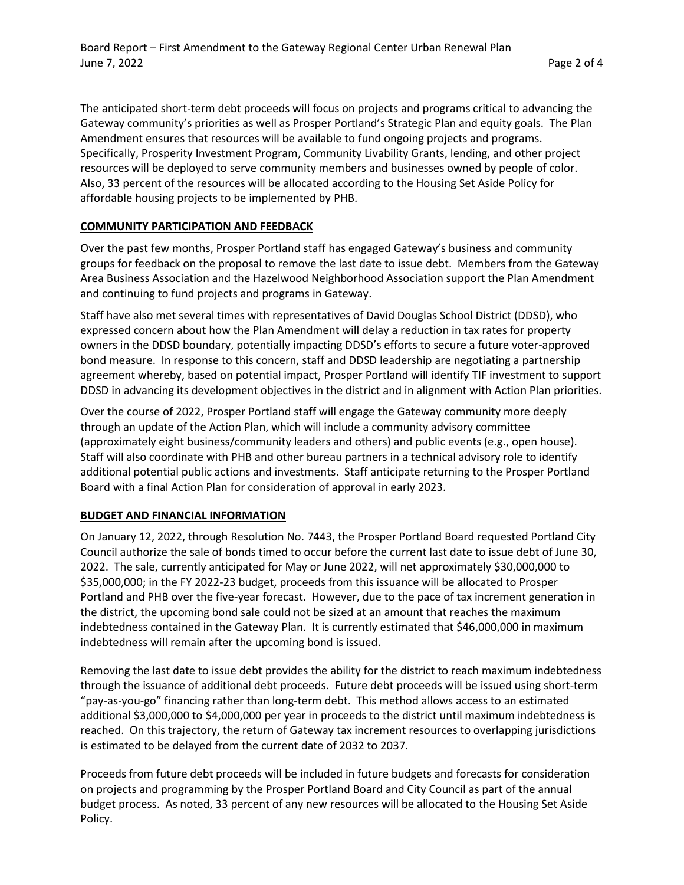The anticipated short-term debt proceeds will focus on projects and programs critical to advancing the Gateway community's priorities as well as Prosper Portland's Strategic Plan and equity goals. The Plan Amendment ensures that resources will be available to fund ongoing projects and programs. Specifically, Prosperity Investment Program, Community Livability Grants, lending, and other project resources will be deployed to serve community members and businesses owned by people of color. Also, 33 percent of the resources will be allocated according to the Housing Set Aside Policy for affordable housing projects to be implemented by PHB.

# **COMMUNITY PARTICIPATION AND FEEDBACK**

Over the past few months, Prosper Portland staff has engaged Gateway's business and community groups for feedback on the proposal to remove the last date to issue debt. Members from the Gateway Area Business Association and the Hazelwood Neighborhood Association support the Plan Amendment and continuing to fund projects and programs in Gateway.

Staff have also met several times with representatives of David Douglas School District (DDSD), who expressed concern about how the Plan Amendment will delay a reduction in tax rates for property owners in the DDSD boundary, potentially impacting DDSD's efforts to secure a future voter-approved bond measure. In response to this concern, staff and DDSD leadership are negotiating a partnership agreement whereby, based on potential impact, Prosper Portland will identify TIF investment to support DDSD in advancing its development objectives in the district and in alignment with Action Plan priorities.

Over the course of 2022, Prosper Portland staff will engage the Gateway community more deeply through an update of the Action Plan, which will include a community advisory committee (approximately eight business/community leaders and others) and public events (e.g., open house). Staff will also coordinate with PHB and other bureau partners in a technical advisory role to identify additional potential public actions and investments. Staff anticipate returning to the Prosper Portland Board with a final Action Plan for consideration of approval in early 2023.

# **BUDGET AND FINANCIAL INFORMATION**

On January 12, 2022, through Resolution No. 7443, the Prosper Portland Board requested Portland City Council authorize the sale of bonds timed to occur before the current last date to issue debt of June 30, 2022. The sale, currently anticipated for May or June 2022, will net approximately \$30,000,000 to \$35,000,000; in the FY 2022-23 budget, proceeds from this issuance will be allocated to Prosper Portland and PHB over the five-year forecast. However, due to the pace of tax increment generation in the district, the upcoming bond sale could not be sized at an amount that reaches the maximum indebtedness contained in the Gateway Plan. It is currently estimated that \$46,000,000 in maximum indebtedness will remain after the upcoming bond is issued.

Removing the last date to issue debt provides the ability for the district to reach maximum indebtedness through the issuance of additional debt proceeds. Future debt proceeds will be issued using short-term "pay-as-you-go" financing rather than long-term debt. This method allows access to an estimated additional \$3,000,000 to \$4,000,000 per year in proceeds to the district until maximum indebtedness is reached. On this trajectory, the return of Gateway tax increment resources to overlapping jurisdictions is estimated to be delayed from the current date of 2032 to 2037.

Proceeds from future debt proceeds will be included in future budgets and forecasts for consideration on projects and programming by the Prosper Portland Board and City Council as part of the annual budget process. As noted, 33 percent of any new resources will be allocated to the Housing Set Aside Policy.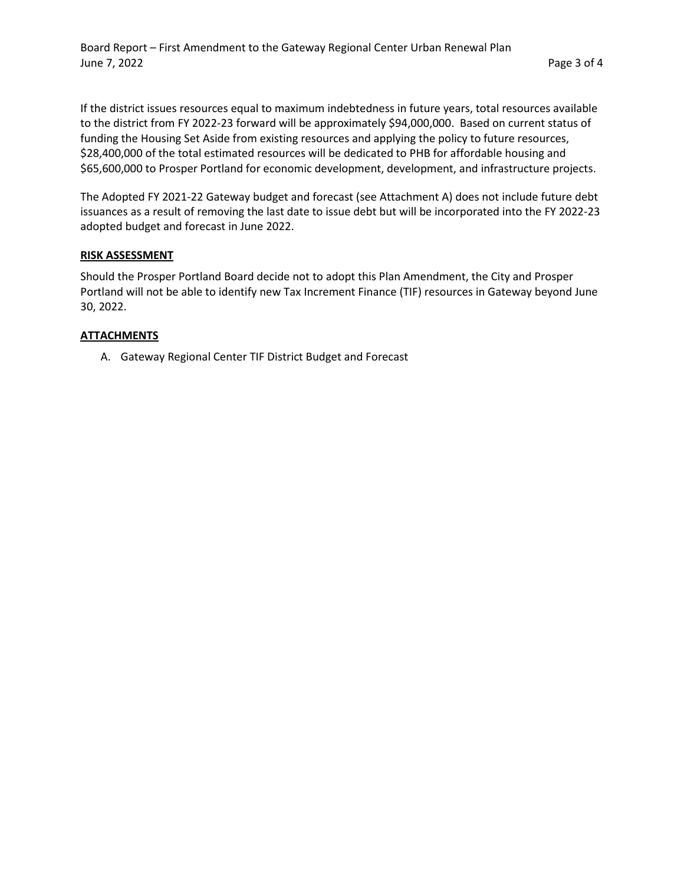If the district issues resources equal to maximum indebtedness in future years, total resources available to the district from FY 2022-23 forward will be approximately \$94,000,000. Based on current status of funding the Housing Set Aside from existing resources and applying the policy to future resources, \$28,400,000 of the total estimated resources will be dedicated to PHB for affordable housing and \$65,600,000 to Prosper Portland for economic development, development, and infrastructure projects.

The Adopted FY 2021-22 Gateway budget and forecast (see Attachment A) does not include future debt issuances as a result of removing the last date to issue debt but will be incorporated into the FY 2022-23 adopted budget and forecast in June 2022.

# **RISK ASSESSMENT**

Should the Prosper Portland Board decide not to adopt this Plan Amendment, the City and Prosper Portland will not be able to identify new Tax Increment Finance (TIF) resources in Gateway beyond June 30, 2022.

### **ATTACHMENTS**

A. Gateway Regional Center TIF District Budget and Forecast